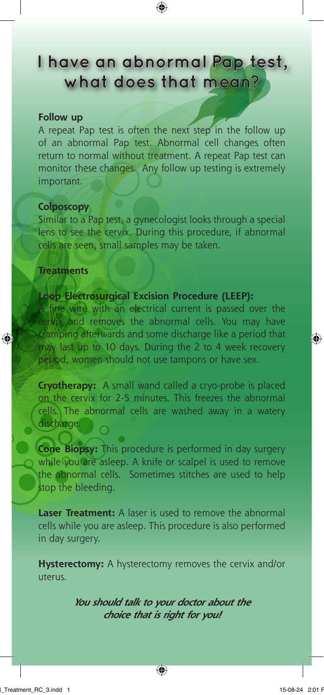**I have an abnormal Pap test, what does that mean?**

 $\textcircled{\scriptsize{*}}$ 

### **Follow up**

A repeat Pap test is often the next step in the follow up of an abnormal Pap test. Abnormal cell changes often return to normal without treatment. A repeat Pap test can monitor these changes. Any follow up testing is extremely important.

## **Colposcopy**

Similar to a Pap test, a gynecologist looks through a special lens to see the cervix. During this procedure, if abnormal cells are seen, small samples may be taken.

#### **Treatments**

♠

## **Loop Electrosurgical Excision Procedure (LEEP):**

A fine wire with an electrical current is passed over the cervix and removes the abnormal cells. You may have cramping afterwards and some discharge like a period that may last up to 10 days. During the 2 to 4 week recovery period, women should not use tampons or have sex.

**Cryotherapy:** A small wand called a cryo-probe is placed on the cervix for 2-5 minutes. This freezes the abnormal cells. The abnormal cells are washed away in a watery discharge.

**Cone Biopsy:** This procedure is performed in day surgery while you are asleep. A knife or scalpel is used to remove the abnormal cells. Sometimes stitches are used to help stop the bleeding.

**Laser Treatment:** A laser is used to remove the abnormal cells while you are asleep. This procedure is also performed in day surgery.

**Hysterectomy:** A hysterectomy removes the cervix and/or uterus.

> **You should talk to your doctor about the choice that is right for you!**

◈

 $\bigcirc$